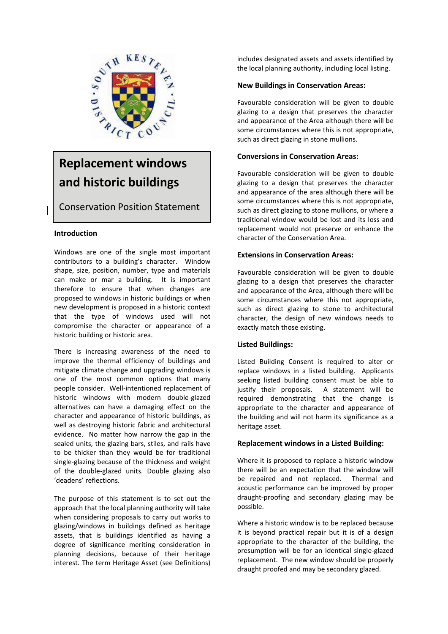

# **Replacement windows and historic buildings**

Conservation Position Statement

# **Introduction**

Windows are one of the single most important contributors to a building's character. Window shape, size, position, number, type and materials can make or mar a building. It is important therefore to ensure that when changes are proposed to windows in historic buildings or when new development is proposed in a historic context that the type of windows used will not compromise the character or appearance of a historic building or historic area.

There is increasing awareness of the need to improve the thermal efficiency of buildings and mitigate climate change and upgrading windows is one of the most common options that many people consider. Well-intentioned replacement of historic windows with modern double-glazed alternatives can have a damaging effect on the character and appearance of historic buildings, as well as destroying historic fabric and architectural evidence. No matter how narrow the gap in the sealed units, the glazing bars, stiles, and rails have to be thicker than they would be for traditional single-glazing because of the thickness and weight of the double-glazed units. Double glazing also 'deadens' reflections.

The purpose of this statement is to set out the approach that the local planning authority will take when considering proposals to carry out works to glazing/windows in buildings defined as heritage assets, that is buildings identified as having a degree of significance meriting consideration in planning decisions, because of their heritage interest. The term Heritage Asset (see Definitions)

includes designated assets and assets identified by the local planning authority, including local listing.

# **New Buildings in Conservation Areas:**

Favourable consideration will be given to double glazing to a design that preserves the character and appearance of the Area although there will be some circumstances where this is not appropriate, such as direct glazing in stone mullions.

# **Conversions in Conservation Areas:**

Favourable consideration will be given to double glazing to a design that preserves the character and appearance of the area although there will be some circumstances where this is not appropriate, such as direct glazing to stone mullions, or where a traditional window would be lost and its loss and replacement would not preserve or enhance the character of the Conservation Area.

# **Extensions in Conservation Areas:**

Favourable consideration will be given to double glazing to a design that preserves the character and appearance of the Area, although there will be some circumstances where this not appropriate, such as direct glazing to stone to architectural character, the design of new windows needs to exactly match those existing.

## **Listed Buildings:**

Listed Building Consent is required to alter or replace windows in a listed building. Applicants seeking listed building consent must be able to justify their proposals. A statement will be required demonstrating that the change is appropriate to the character and appearance of the building and will not harm its significance as a heritage asset.

## **Replacement windows in a Listed Building:**

Where it is proposed to replace a historic window there will be an expectation that the window will be repaired and not replaced. Thermal and acoustic performance can be improved by proper draught-proofing and secondary glazing may be possible.

Where a historic window is to be replaced because it is beyond practical repair but it is of a design appropriate to the character of the building, the presumption will be for an identical single-glazed replacement. The new window should be properly draught proofed and may be secondary glazed.